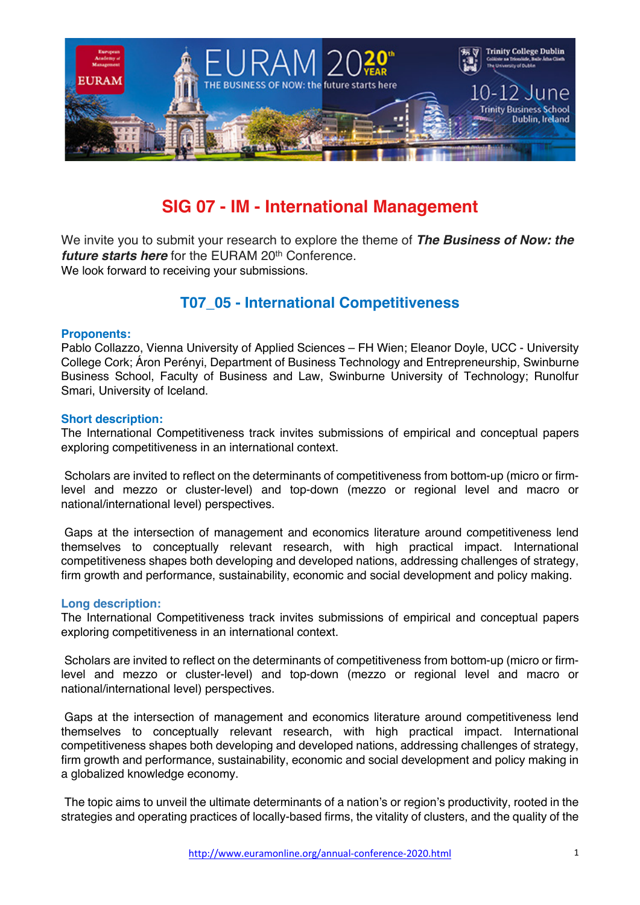

# **SIG 07 - IM - International Management**

We invite you to submit your research to explore the theme of *The Business of Now: the future starts here* for the EURAM 20<sup>th</sup> Conference. We look forward to receiving your submissions.

# **T07\_05 - International Competitiveness**

### **Proponents:**

Pablo Collazzo, Vienna University of Applied Sciences – FH Wien; Eleanor Doyle, UCC - University College Cork; Áron Perényi, Department of Business Technology and Entrepreneurship, Swinburne Business School, Faculty of Business and Law, Swinburne University of Technology; Runolfur Smari, University of Iceland.

### **Short description:**

The International Competitiveness track invites submissions of empirical and conceptual papers exploring competitiveness in an international context.

Scholars are invited to reflect on the determinants of competitiveness from bottom-up (micro or firmlevel and mezzo or cluster-level) and top-down (mezzo or regional level and macro or national/international level) perspectives.

Gaps at the intersection of management and economics literature around competitiveness lend themselves to conceptually relevant research, with high practical impact. International competitiveness shapes both developing and developed nations, addressing challenges of strategy, firm growth and performance, sustainability, economic and social development and policy making.

## **Long description:**

The International Competitiveness track invites submissions of empirical and conceptual papers exploring competitiveness in an international context.

Scholars are invited to reflect on the determinants of competitiveness from bottom-up (micro or firmlevel and mezzo or cluster-level) and top-down (mezzo or regional level and macro or national/international level) perspectives.

Gaps at the intersection of management and economics literature around competitiveness lend themselves to conceptually relevant research, with high practical impact. International competitiveness shapes both developing and developed nations, addressing challenges of strategy, firm growth and performance, sustainability, economic and social development and policy making in a globalized knowledge economy.

The topic aims to unveil the ultimate determinants of a nation's or region's productivity, rooted in the strategies and operating practices of locally-based firms, the vitality of clusters, and the quality of the